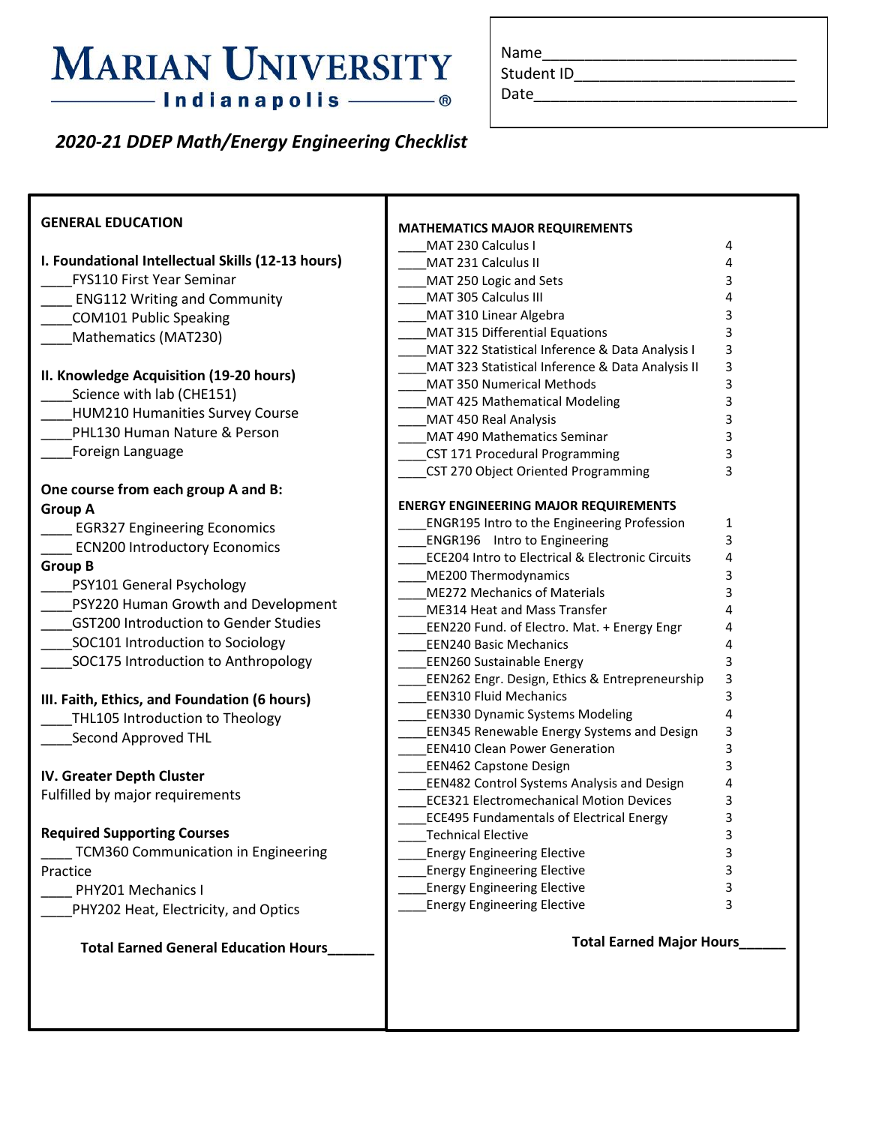# **MARIAN UNIVERSITY** — Indianapolis ———— ®

| Name |  |  |  |
|------|--|--|--|
|      |  |  |  |

Student ID\_\_\_\_\_\_\_\_\_\_\_\_\_\_\_\_\_\_\_\_\_\_\_\_\_\_ Date\_\_\_\_\_\_\_\_\_\_\_\_\_\_\_\_\_\_\_\_\_\_\_\_\_\_\_\_\_\_\_

### *2020-21 DDEP Math/Energy Engineering Checklist*

| <b>GENERAL EDUCATION</b>                          |                                                             |              |
|---------------------------------------------------|-------------------------------------------------------------|--------------|
|                                                   | <b>MATHEMATICS MAJOR REQUIREMENTS</b>                       |              |
| I. Foundational Intellectual Skills (12-13 hours) | MAT 230 Calculus I                                          | 4<br>4       |
| <b>FYS110 First Year Seminar</b>                  | MAT 231 Calculus II<br>MAT 250 Logic and Sets               |              |
|                                                   | MAT 305 Calculus III                                        | 3<br>4       |
| <b>ENG112 Writing and Community</b>               | MAT 310 Linear Algebra                                      | 3            |
| <b>COM101 Public Speaking</b>                     | MAT 315 Differential Equations                              | 3            |
| Mathematics (MAT230)                              | MAT 322 Statistical Inference & Data Analysis I             | 3            |
|                                                   | MAT 323 Statistical Inference & Data Analysis II            | 3            |
| II. Knowledge Acquisition (19-20 hours)           | <b>MAT 350 Numerical Methods</b>                            | 3            |
| Science with lab (CHE151)                         | MAT 425 Mathematical Modeling                               | 3            |
| <b>HUM210 Humanities Survey Course</b>            | MAT 450 Real Analysis                                       | 3            |
| PHL130 Human Nature & Person                      | MAT 490 Mathematics Seminar                                 | 3            |
| Foreign Language                                  | CST 171 Procedural Programming                              | 3            |
|                                                   | CST 270 Object Oriented Programming                         | 3            |
| One course from each group A and B:               |                                                             |              |
| <b>Group A</b>                                    | <b>ENERGY ENGINEERING MAJOR REQUIREMENTS</b>                |              |
|                                                   | <b>ENGR195 Intro to the Engineering Profession</b>          | $\mathbf{1}$ |
| <b>EGR327 Engineering Economics</b>               | <b>ENGR196</b> Intro to Engineering                         | 3            |
| <b>ECN200 Introductory Economics</b>              | <b>ECE204 Intro to Electrical &amp; Electronic Circuits</b> | 4            |
| <b>Group B</b>                                    | ME200 Thermodynamics                                        | 3            |
| PSY101 General Psychology                         | <b>ME272 Mechanics of Materials</b>                         | 3            |
| PSY220 Human Growth and Development               | ME314 Heat and Mass Transfer                                | 4            |
| <b>GST200 Introduction to Gender Studies</b>      | <b>EEN220 Fund. of Electro. Mat. + Energy Engr</b>          | 4            |
| SOC101 Introduction to Sociology                  | <b>EEN240 Basic Mechanics</b>                               | 4            |
| SOC175 Introduction to Anthropology               | <b>EEN260 Sustainable Energy</b>                            | 3            |
|                                                   | <b>EEN262 Engr. Design, Ethics &amp; Entrepreneurship</b>   | 3            |
| III. Faith, Ethics, and Foundation (6 hours)      | <b>EEN310 Fluid Mechanics</b>                               | 3            |
| THL105 Introduction to Theology                   | <b>EEN330 Dynamic Systems Modeling</b>                      | 4            |
| Second Approved THL                               | <b>EEN345 Renewable Energy Systems and Design</b>           | 3            |
|                                                   | <b>EEN410 Clean Power Generation</b>                        | 3            |
|                                                   | <b>EEN462 Capstone Design</b>                               | 3            |
| IV. Greater Depth Cluster                         | <b>EEN482 Control Systems Analysis and Design</b>           | 4            |
| Fulfilled by major requirements                   | <b>ECE321 Electromechanical Motion Devices</b>              | 3            |
|                                                   | <b>ECE495 Fundamentals of Electrical Energy</b>             | 3            |
| <b>Required Supporting Courses</b>                | <b>Technical Elective</b>                                   | 3            |
| TCM360 Communication in Engineering               | <b>Energy Engineering Elective</b>                          | 3            |
| Practice                                          | <b>Energy Engineering Elective</b>                          |              |
| PHY201 Mechanics I                                | <b>Energy Engineering Elective</b>                          | 3            |
| PHY202 Heat, Electricity, and Optics              | <b>Energy Engineering Elective</b>                          | 3            |
| <b>Total Earned General Education Hours</b>       | <b>Total Earned Major Hours</b>                             |              |
|                                                   |                                                             |              |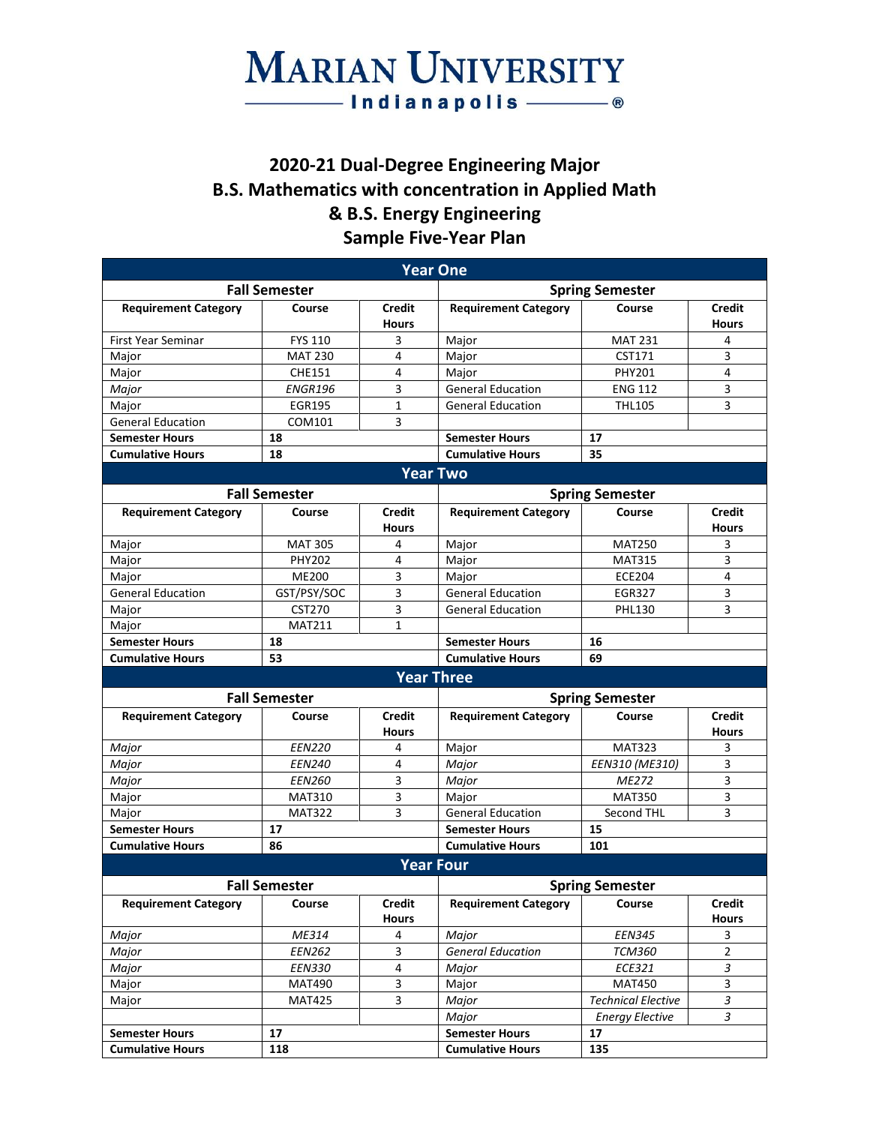## **MARIAN UNIVERSITY**  $\overline{\phantom{0}}$  Indianapolis  $\overline{\phantom{0}}$

#### **2020-21 Dual-Degree Engineering Major B.S. Mathematics with concentration in Applied Math & B.S. Energy Engineering Sample Five-Year Plan**

| <b>Year One</b>             |                      |                               |                             |                           |                               |  |  |
|-----------------------------|----------------------|-------------------------------|-----------------------------|---------------------------|-------------------------------|--|--|
|                             | <b>Fall Semester</b> |                               | <b>Spring Semester</b>      |                           |                               |  |  |
| <b>Requirement Category</b> | Course               | Credit<br><b>Hours</b>        | <b>Requirement Category</b> | Course                    | <b>Credit</b><br><b>Hours</b> |  |  |
| <b>First Year Seminar</b>   | <b>FYS 110</b>       | 3                             | Major                       | <b>MAT 231</b>            | 4                             |  |  |
| Major                       | <b>MAT 230</b>       | 4                             | Major                       | CST171                    | 3                             |  |  |
| Major                       | <b>CHE151</b>        | 4                             | Major                       | <b>PHY201</b>             | 4                             |  |  |
| Major                       | <b>ENGR196</b>       | 3                             | <b>General Education</b>    | <b>ENG 112</b>            | 3                             |  |  |
| Major                       | EGR195               | $\mathbf{1}$                  | <b>General Education</b>    | <b>THL105</b>             | 3                             |  |  |
| <b>General Education</b>    | COM101               | 3                             |                             |                           |                               |  |  |
| <b>Semester Hours</b>       | 18                   |                               | <b>Semester Hours</b>       | 17                        |                               |  |  |
| <b>Cumulative Hours</b>     | 18                   |                               | <b>Cumulative Hours</b>     | 35                        |                               |  |  |
|                             |                      | <b>Year Two</b>               |                             |                           |                               |  |  |
|                             | <b>Fall Semester</b> |                               |                             | <b>Spring Semester</b>    |                               |  |  |
| <b>Requirement Category</b> | Course               | Credit                        | <b>Requirement Category</b> | Course                    | <b>Credit</b>                 |  |  |
|                             |                      | <b>Hours</b>                  |                             |                           | <b>Hours</b>                  |  |  |
| Major                       | <b>MAT 305</b>       | $\overline{4}$                | Major                       | <b>MAT250</b>             | 3                             |  |  |
| Major                       | <b>PHY202</b>        | 4                             | Major                       | <b>MAT315</b>             | 3                             |  |  |
| Major                       | <b>ME200</b>         | 3                             | Major                       | <b>ECE204</b>             | $\overline{4}$                |  |  |
| <b>General Education</b>    | GST/PSY/SOC          | 3                             | <b>General Education</b>    | <b>EGR327</b>             | 3                             |  |  |
| Major                       | CST270               | 3                             | <b>General Education</b>    | <b>PHL130</b>             | 3                             |  |  |
| Major                       | <b>MAT211</b>        | $\mathbf{1}$                  |                             |                           |                               |  |  |
| <b>Semester Hours</b>       | 18                   |                               | <b>Semester Hours</b>       | 16                        |                               |  |  |
| <b>Cumulative Hours</b>     | 53                   |                               | <b>Cumulative Hours</b>     | 69                        |                               |  |  |
|                             |                      | <b>Year Three</b>             |                             |                           |                               |  |  |
|                             | <b>Fall Semester</b> |                               | <b>Spring Semester</b>      |                           |                               |  |  |
| <b>Requirement Category</b> | Course               | <b>Credit</b>                 | <b>Requirement Category</b> | Course                    | <b>Credit</b>                 |  |  |
|                             |                      | <b>Hours</b>                  |                             |                           | <b>Hours</b>                  |  |  |
| Major                       | <b>EEN220</b>        | 4                             | Major                       | <b>MAT323</b>             | 3                             |  |  |
| Major                       | <b>EEN240</b>        | 4                             | Major                       | EEN310 (ME310)            | 3                             |  |  |
| Major                       | <b>EEN260</b>        | 3                             | Major                       | ME272                     | 3                             |  |  |
| Major                       | <b>MAT310</b>        | 3                             | Major                       | <b>MAT350</b>             | 3                             |  |  |
| Major                       | <b>MAT322</b>        | 3                             | <b>General Education</b>    | Second THL                | 3                             |  |  |
| <b>Semester Hours</b>       | 17                   |                               | <b>Semester Hours</b>       | 15                        |                               |  |  |
| <b>Cumulative Hours</b>     | 86                   |                               | <b>Cumulative Hours</b>     | 101                       |                               |  |  |
| <b>Year Four</b>            |                      |                               |                             |                           |                               |  |  |
| <b>Fall Semester</b>        |                      |                               |                             | <b>Spring Semester</b>    |                               |  |  |
| <b>Requirement Category</b> | Course               | <b>Credit</b><br><b>Hours</b> | <b>Requirement Category</b> | Course                    | Credit<br><b>Hours</b>        |  |  |
| Major                       | ME314                | 4                             | Major                       | <b>EEN345</b>             | 3                             |  |  |
| Major                       | <b>EEN262</b>        | 3                             | <b>General Education</b>    | <b>TCM360</b>             | $\overline{2}$                |  |  |
| Major                       | <b>EEN330</b>        | $\overline{4}$                | Major                       | ECE321                    | $\mathfrak{Z}$                |  |  |
| Major                       | <b>MAT490</b>        | 3                             | Major                       | <b>MAT450</b>             | 3                             |  |  |
| Major                       | <b>MAT425</b>        | 3                             | Major                       | <b>Technical Elective</b> | $\mathfrak{Z}$                |  |  |
|                             |                      |                               | Major                       | <b>Energy Elective</b>    | 3                             |  |  |
| <b>Semester Hours</b>       | 17                   |                               | <b>Semester Hours</b>       | 17                        |                               |  |  |
| <b>Cumulative Hours</b>     | 118                  |                               | <b>Cumulative Hours</b>     | 135                       |                               |  |  |